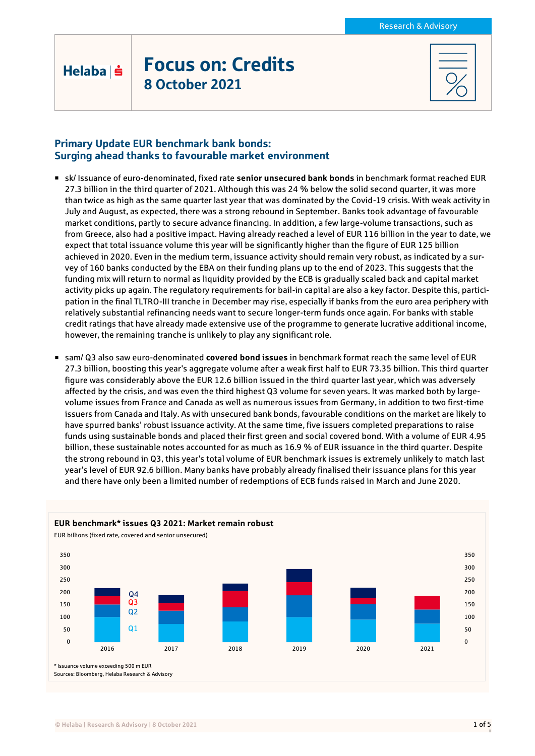# Focus on: Credits 8 October 2021

## Primary Update EUR benchmark bank bonds: Surging ahead thanks to favourable market environment

Helaba | s

- sk/ Issuance of euro-denominated, fixed rate **senior unsecured bank bonds** in benchmark format reached EUR 27.3 billion in the third quarter of 2021. Although this was 24 % below the solid second quarter, it was more than twice as high as the same quarter last year that was dominated by the Covid-19 crisis. With weak activity in July and August, as expected, there was a strong rebound in September. Banks took advantage of favourable market conditions, partly to secure advance financing. In addition, a few large-volume transactions, such as from Greece, also had a positive impact. Having already reached a level of EUR 116 billion in the year to date, we expect that total issuance volume this year will be significantly higher than the figure of EUR 125 billion achieved in 2020. Even in the medium term, issuance activity should remain very robust, as indicated by a survey of 160 banks conducted by the EBA on their funding plans up to the end of 2023. This suggests that the funding mix will return to normal as liquidity provided by the ECB is gradually scaled back and capital market activity picks up again. The regulatory requirements for bail-in capital are also a key factor. Despite this, participation in the final TLTRO-III tranche in December may rise, especially if banks from the euro area periphery with relatively substantial refinancing needs want to secure longer-term funds once again. For banks with stable credit ratings that have already made extensive use of the programme to generate lucrative additional income, however, the remaining tranche is unlikely to play any significant role.
- sam/ Q3 also saw euro-denominated **covered bond issues** in benchmark format reach the same level of EUR 27.3 billion, boosting this year's aggregate volume after a weak first half to EUR 73.35 billion. This third quarter figure was considerably above the EUR 12.6 billion issued in the third quarter last year, which was adversely affected by the crisis, and was even the third highest Q3 volume for seven years. It was marked both by largevolume issues from France and Canada as well as numerous issues from Germany, in addition to two first-time issuers from Canada and Italy. As with unsecured bank bonds, favourable conditions on the market are likely to have spurred banks' robust issuance activity. At the same time, five issuers completed preparations to raise funds using sustainable bonds and placed their first green and social covered bond. With a volume of EUR 4.95 billion, these sustainable notes accounted for as much as 16.9 % of EUR issuance in the third quarter. Despite the strong rebound in Q3, this year's total volume of EUR benchmark issues is extremely unlikely to match last year's level of EUR 92.6 billion. Many banks have probably already finalised their issuance plans for this year and there have only been a limited number of redemptions of ECB funds raised in March and June 2020.

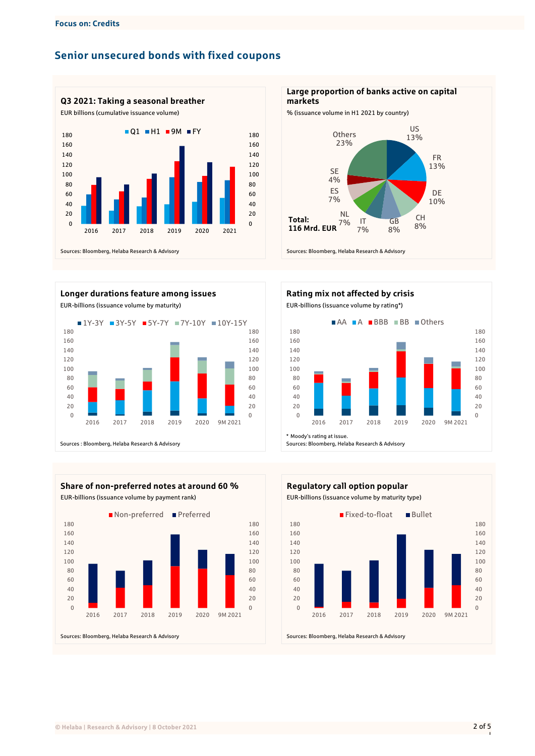# **Senior unsecured bonds with fixed coupons**









**Large proportion of banks active on capital markets**





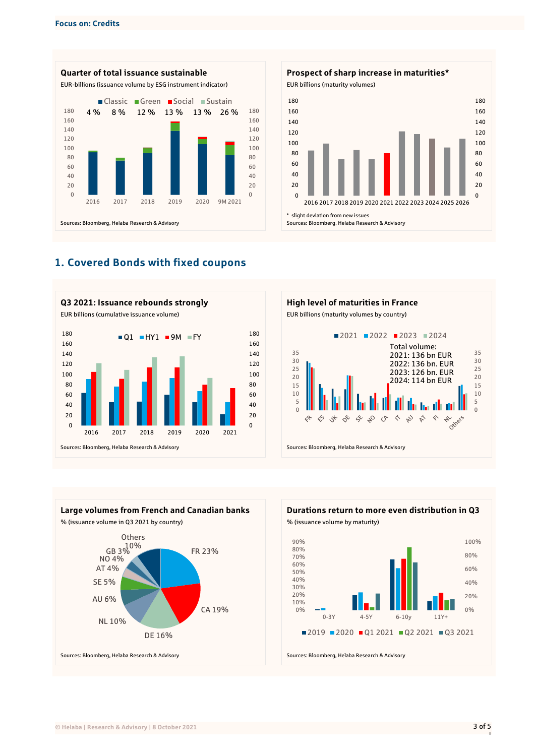











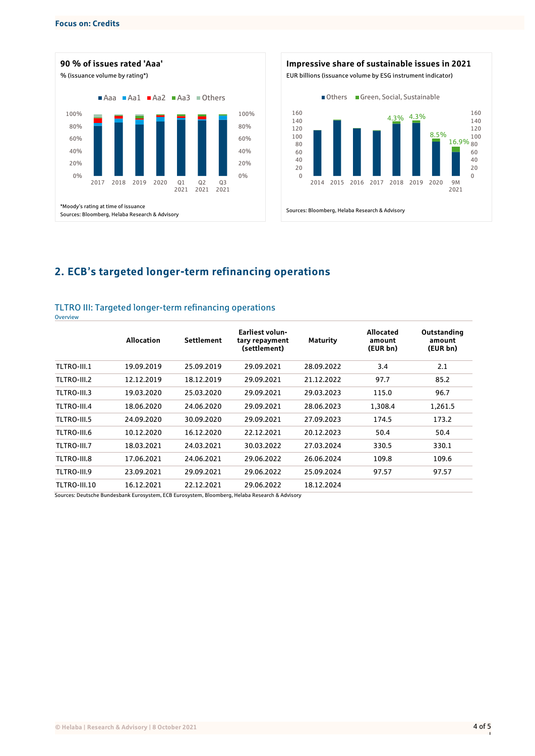**Overview** 





# **2. ECB's targeted longer-term refinancing operations**

#### TLTRO III: Targeted longer-term refinancing operations

|              | <b>Allocation</b> | Settlement | <b>Earliest volun-</b><br>tary repayment<br>(settlement) | <b>Maturity</b> | Allocated<br>amount<br>(EUR bn) | Outstanding<br>amount<br>(EUR bn) |
|--------------|-------------------|------------|----------------------------------------------------------|-----------------|---------------------------------|-----------------------------------|
| TLTRO-III.1  | 19.09.2019        | 25.09.2019 | 29.09.2021                                               | 28.09.2022      | 3.4                             | 2.1                               |
| TLTRO-III.2  | 12.12.2019        | 18.12.2019 | 29.09.2021                                               | 21.12.2022      | 97.7                            | 85.2                              |
| TLTRO-III.3  | 19.03.2020        | 25.03.2020 | 29.09.2021                                               | 29.03.2023      | 115.0                           | 96.7                              |
| TLTRO-III.4  | 18.06.2020        | 24.06.2020 | 29.09.2021                                               | 28.06.2023      | 1.308.4                         | 1,261.5                           |
| TLTRO-III.5  | 24.09.2020        | 30.09.2020 | 29.09.2021                                               | 27.09.2023      | 174.5                           | 173.2                             |
| TLTRO-III.6  | 10.12.2020        | 16.12.2020 | 22.12.2021                                               | 20.12.2023      | 50.4                            | 50.4                              |
| TLTRO-III.7  | 18.03.2021        | 24.03.2021 | 30.03.2022                                               | 27.03.2024      | 330.5                           | 330.1                             |
| TLTRO-III.8  | 17.06.2021        | 24.06.2021 | 29.06.2022                                               | 26.06.2024      | 109.8                           | 109.6                             |
| TLTRO-III.9  | 23.09.2021        | 29.09.2021 | 29.06.2022                                               | 25.09.2024      | 97.57                           | 97.57                             |
| TLTRO-III.10 | 16.12.2021        | 22.12.2021 | 29.06.2022                                               | 18.12.2024      |                                 |                                   |

Sources: Deutsche Bundesbank Eurosystem, ECB Eurosystem, Bloomberg, Helaba Research & Advisory